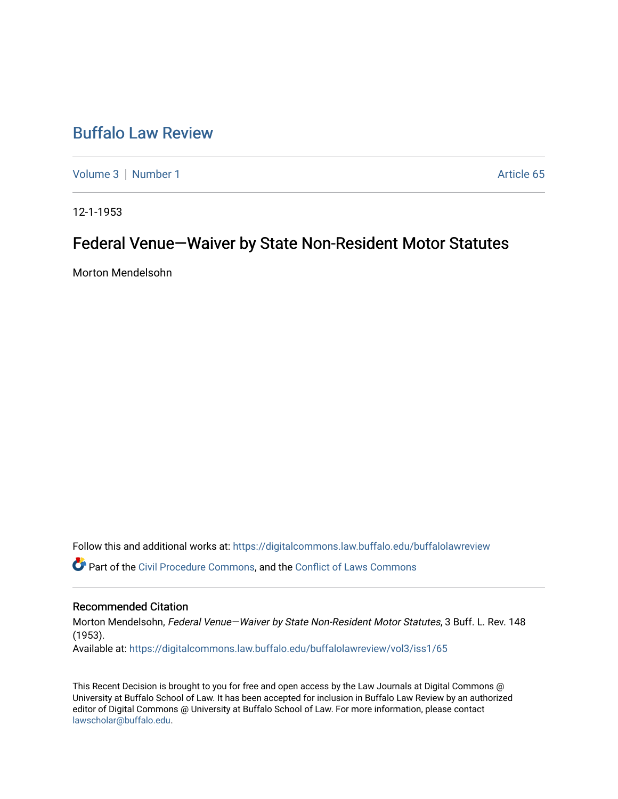# [Buffalo Law Review](https://digitalcommons.law.buffalo.edu/buffalolawreview)

[Volume 3](https://digitalcommons.law.buffalo.edu/buffalolawreview/vol3) | [Number 1](https://digitalcommons.law.buffalo.edu/buffalolawreview/vol3/iss1) Article 65

12-1-1953

## Federal Venue-Waiver by State Non-Resident Motor Statutes

Morton Mendelsohn

Follow this and additional works at: [https://digitalcommons.law.buffalo.edu/buffalolawreview](https://digitalcommons.law.buffalo.edu/buffalolawreview?utm_source=digitalcommons.law.buffalo.edu%2Fbuffalolawreview%2Fvol3%2Fiss1%2F65&utm_medium=PDF&utm_campaign=PDFCoverPages) 

Part of the [Civil Procedure Commons,](http://network.bepress.com/hgg/discipline/584?utm_source=digitalcommons.law.buffalo.edu%2Fbuffalolawreview%2Fvol3%2Fiss1%2F65&utm_medium=PDF&utm_campaign=PDFCoverPages) and the Conflict of Laws Commons

### Recommended Citation

Morton Mendelsohn, Federal Venue—Waiver by State Non-Resident Motor Statutes, 3 Buff. L. Rev. 148 (1953). Available at: [https://digitalcommons.law.buffalo.edu/buffalolawreview/vol3/iss1/65](https://digitalcommons.law.buffalo.edu/buffalolawreview/vol3/iss1/65?utm_source=digitalcommons.law.buffalo.edu%2Fbuffalolawreview%2Fvol3%2Fiss1%2F65&utm_medium=PDF&utm_campaign=PDFCoverPages) 

This Recent Decision is brought to you for free and open access by the Law Journals at Digital Commons @ University at Buffalo School of Law. It has been accepted for inclusion in Buffalo Law Review by an authorized editor of Digital Commons @ University at Buffalo School of Law. For more information, please contact [lawscholar@buffalo.edu](mailto:lawscholar@buffalo.edu).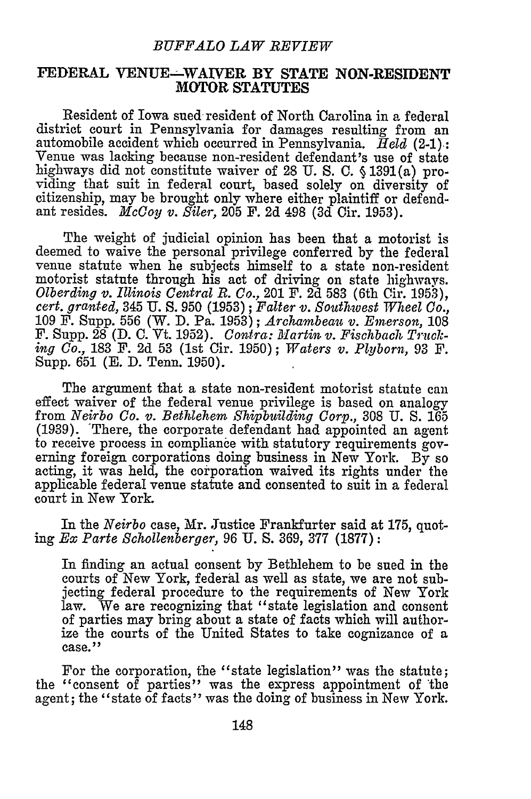#### *BUFFALO LAW REVIEW*

#### FEDERAL **VENUE-WAIVER** BY **STATE NON-RESIDENT** MOTOR **STATUTES**

Resident of Iowa sued resident of North Carolina in a federal district court in Pennsylvania for damages resulting from an automobile accident which occurred in Pennsylvania. *Held* (2-1): Venue was lacking because non-resident defendant's use of state highways did not constitute waiver of 28 U. S. C. § 1391(a) providing that suit in federal court, based solely on diversity of citizenship, may be brought only where either plaintiff or defendant resides. *McCoy v. Siler,* 205 F. 2d 498 (3d Cir. 1953).

The weight of judicial opinion has been that a motorist is deemed to waive the personal privilege conferred by the federal venue statute when he subjects himself to a state non-resident motorist statute through his act of driving on state highways. *Olberding v. Illinois Central R. Co.,* 201 F. 2d 583 (6th Cir. 1953), *cert. granted,* 345 U. S. 950 (1953) ; *Falter v. Southwest Wheel Co.,* 109 F. Supp. 556 (W. D. Pa. 1953); *Archambeau v. Emerson,* <sup>108</sup> F. Supp. 28 (D. C. Vt. 1952). *Contra: Martin v. Fischbach Trucking Co.,* 183 F. 2d 53 (1st Cir. 1950); *Waters v. Plyborn,* 93 F. Supp. 651 (E. D. Tenn. 1950).

The argument that a state non-resident motorist statute can effect waiver of the federal venue privilege is based on analogy from *Neirbo Co. v. Bethlehem Shipbuilding Corp.,* 308 U. S. 165 (1939). 'There, the corporate defendant had appointed an agent to receive process in compliance with statutory requirements governing foreign corporations doing business in New York. By so acting, it was held, the corporation waived its rights under the applicable federal venue statute and consented to suit in a federal court in New York.

In the *Neirbo* case, Mr. Justice Frankfurter said at 175, quoting *Ex Parte Schollenberger*, 96 U. S. 369, 377 (1877):

In finding an actual consent by Bethlehem to be sued in the courts of New York, federal as well as state, we are not subjecting federal procedure to the requirements of New York law. We are recognizing that "state legislation and consent of parties may bring about a state of facts which will authorize the courts of the United States to take cognizance of a case."

For the corporation, the "state legislation" was the statute; the "consent of parties" was the express appointment of the agent; the "state of facts" was the doing of business in New York.